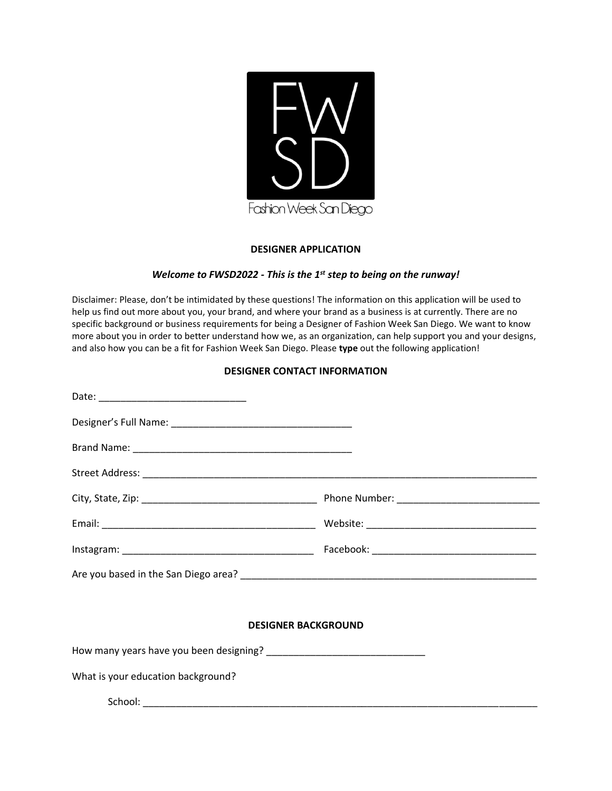

## **DESIGNER APPLICATION**

## *Welcome to FWSD2022 - This is the 1st step to being on the runway!*

Disclaimer: Please, don't be intimidated by these questions! The information on this application will be used to help us find out more about you, your brand, and where your brand as a business is at currently. There are no specific background or business requirements for being a Designer of Fashion Week San Diego. We want to know more about you in order to better understand how we, as an organization, can help support you and your designs, and also how you can be a fit for Fashion Week San Diego. Please **type** out the following application!

## **DESIGNER CONTACT INFORMATION**

| <b>DESIGNER BACKGROUND</b>         |  |  |  |  |  |  |
|------------------------------------|--|--|--|--|--|--|
|                                    |  |  |  |  |  |  |
| What is your education background? |  |  |  |  |  |  |
|                                    |  |  |  |  |  |  |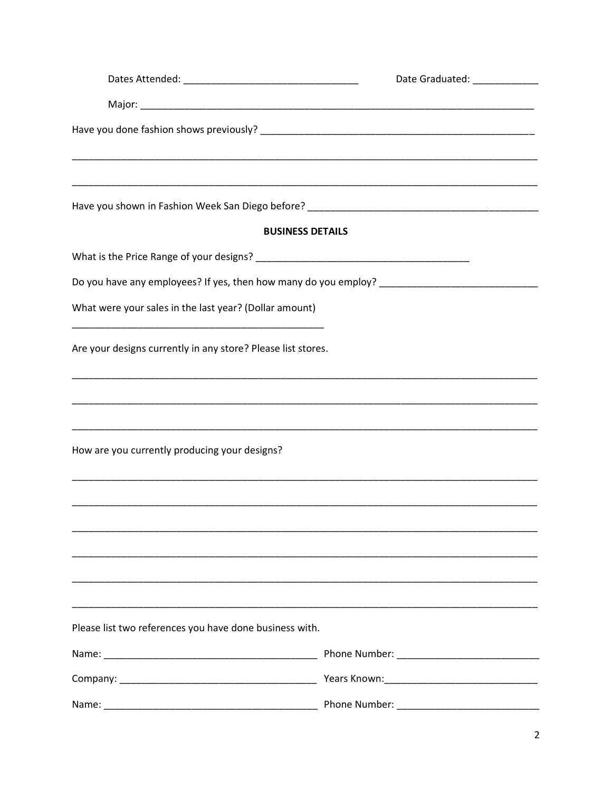|                                                              |                         | Date Graduated: ____________ |  |  |  |  |
|--------------------------------------------------------------|-------------------------|------------------------------|--|--|--|--|
|                                                              |                         |                              |  |  |  |  |
|                                                              |                         |                              |  |  |  |  |
|                                                              |                         |                              |  |  |  |  |
|                                                              | <b>BUSINESS DETAILS</b> |                              |  |  |  |  |
|                                                              |                         |                              |  |  |  |  |
|                                                              |                         |                              |  |  |  |  |
| What were your sales in the last year? (Dollar amount)       |                         |                              |  |  |  |  |
| Are your designs currently in any store? Please list stores. |                         |                              |  |  |  |  |
|                                                              |                         |                              |  |  |  |  |
| How are you currently producing your designs?                |                         |                              |  |  |  |  |
|                                                              |                         |                              |  |  |  |  |
|                                                              |                         |                              |  |  |  |  |
|                                                              |                         |                              |  |  |  |  |
|                                                              |                         |                              |  |  |  |  |
| Please list two references you have done business with.      |                         |                              |  |  |  |  |
|                                                              |                         |                              |  |  |  |  |
|                                                              |                         |                              |  |  |  |  |
|                                                              |                         |                              |  |  |  |  |